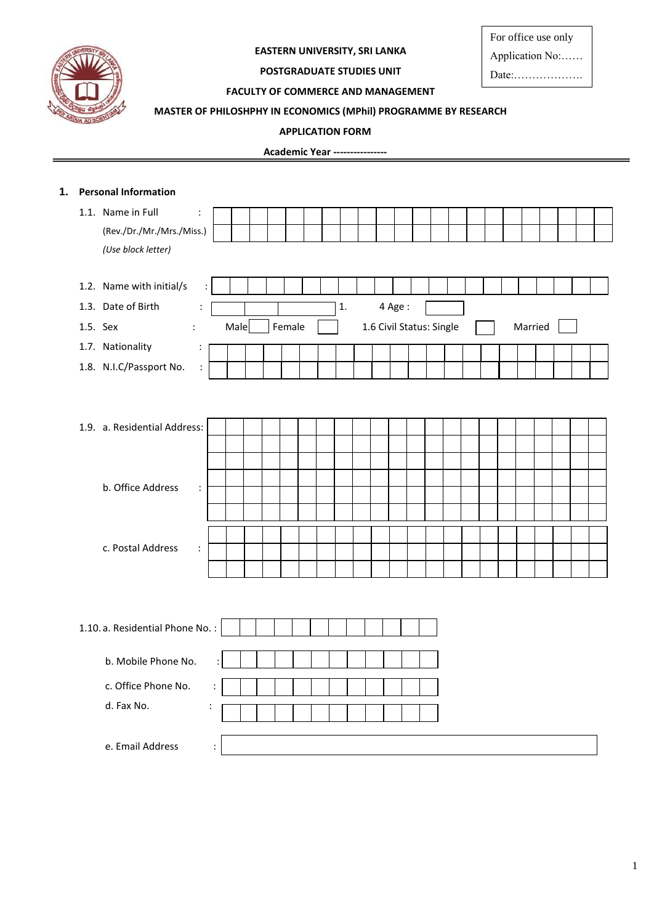

## **EASTERN UNIVERSITY, SRI LANKA**

For office use only

Application No:……

Date:……………….

## **POSTGRADUATE STUDIES UNIT FACULTY OF COMMERCE AND MANAGEMENT**

## **MASTER OF PHILOSHPHY IN ECONOMICS (MPhil) PROGRAMME BY RESEARCH**

#### **APPLICATION FORM**

**Academic Year ----------------**

|          | 1. Personal Information         |                      |                |      |  |        |  |    |  |                          |  |  |  |         |  |  |
|----------|---------------------------------|----------------------|----------------|------|--|--------|--|----|--|--------------------------|--|--|--|---------|--|--|
|          | 1.1. Name in Full               | $\ddot{\cdot}$       |                |      |  |        |  |    |  |                          |  |  |  |         |  |  |
|          | (Rev./Dr./Mr./Mrs./Miss.)       |                      |                |      |  |        |  |    |  |                          |  |  |  |         |  |  |
|          | (Use block letter)              |                      |                |      |  |        |  |    |  |                          |  |  |  |         |  |  |
|          |                                 |                      |                |      |  |        |  |    |  |                          |  |  |  |         |  |  |
|          | 1.2. Name with initial/s        |                      |                |      |  |        |  |    |  |                          |  |  |  |         |  |  |
|          | 1.3. Date of Birth              | $\ddot{\phantom{a}}$ |                |      |  |        |  | 1. |  | 4 Age:                   |  |  |  |         |  |  |
| 1.5. Sex | $\ddot{\cdot}$                  |                      |                | Male |  | Female |  |    |  | 1.6 Civil Status: Single |  |  |  | Married |  |  |
|          | 1.7. Nationality                | $\ddot{\cdot}$       |                |      |  |        |  |    |  |                          |  |  |  |         |  |  |
|          | 1.8. N.I.C/Passport No.         | $\ddot{\phantom{a}}$ |                |      |  |        |  |    |  |                          |  |  |  |         |  |  |
|          |                                 |                      |                |      |  |        |  |    |  |                          |  |  |  |         |  |  |
|          |                                 |                      |                |      |  |        |  |    |  |                          |  |  |  |         |  |  |
|          | 1.9. a. Residential Address:    |                      |                |      |  |        |  |    |  |                          |  |  |  |         |  |  |
|          |                                 |                      |                |      |  |        |  |    |  |                          |  |  |  |         |  |  |
|          |                                 |                      |                |      |  |        |  |    |  |                          |  |  |  |         |  |  |
|          | b. Office Address               | $\ddot{\cdot}$       |                |      |  |        |  |    |  |                          |  |  |  |         |  |  |
|          |                                 |                      |                |      |  |        |  |    |  |                          |  |  |  |         |  |  |
|          |                                 |                      |                |      |  |        |  |    |  |                          |  |  |  |         |  |  |
|          | c. Postal Address               | $\ddot{\phantom{a}}$ |                |      |  |        |  |    |  |                          |  |  |  |         |  |  |
|          |                                 |                      |                |      |  |        |  |    |  |                          |  |  |  |         |  |  |
|          |                                 |                      |                |      |  |        |  |    |  |                          |  |  |  |         |  |  |
|          |                                 |                      |                |      |  |        |  |    |  |                          |  |  |  |         |  |  |
|          |                                 |                      |                |      |  |        |  |    |  |                          |  |  |  |         |  |  |
|          | 1.10. a. Residential Phone No.: |                      |                |      |  |        |  |    |  |                          |  |  |  |         |  |  |
|          | b. Mobile Phone No.             |                      |                |      |  |        |  |    |  |                          |  |  |  |         |  |  |
|          |                                 |                      |                |      |  |        |  |    |  |                          |  |  |  |         |  |  |
|          | c. Office Phone No.             |                      | $\ddot{\cdot}$ |      |  |        |  |    |  |                          |  |  |  |         |  |  |
|          | d. Fax No.                      | $\ddot{\cdot}$       |                |      |  |        |  |    |  |                          |  |  |  |         |  |  |
|          |                                 |                      |                |      |  |        |  |    |  |                          |  |  |  |         |  |  |
|          | e. Email Address                |                      | $\ddot{\cdot}$ |      |  |        |  |    |  |                          |  |  |  |         |  |  |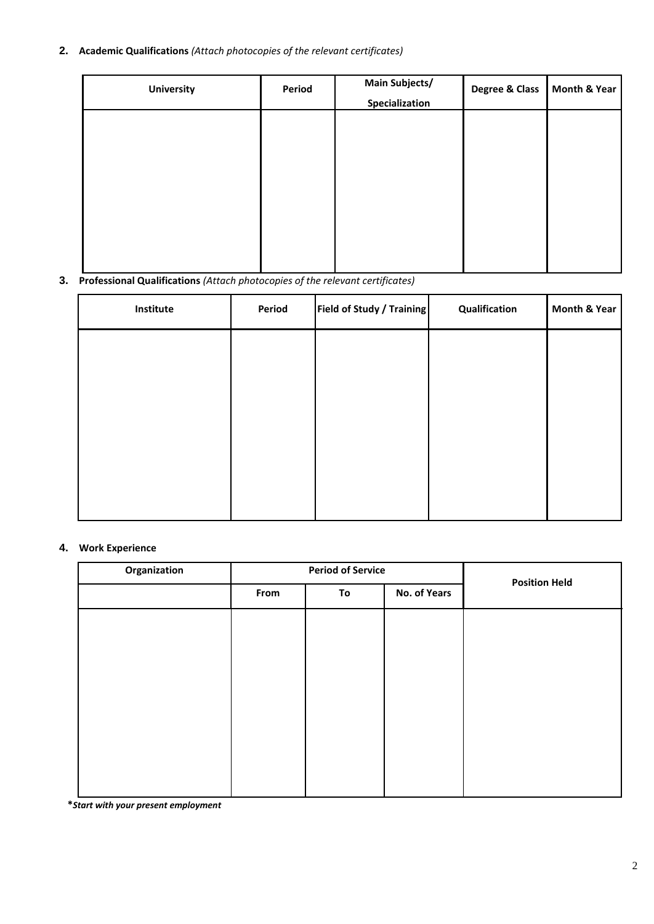# **2. Academic Qualifications** *(Attach photocopies of the relevant certificates)*

| <b>University</b> | Period | <b>Main Subjects/</b><br>Specialization | Degree & Class | Month & Year |
|-------------------|--------|-----------------------------------------|----------------|--------------|
|                   |        |                                         |                |              |
|                   |        |                                         |                |              |
|                   |        |                                         |                |              |
|                   |        |                                         |                |              |
|                   |        |                                         |                |              |

## **3. Professional Qualifications** *(Attach photocopies of the relevant certificates)*

| Institute | Period | <b>Field of Study / Training</b> | Qualification | Month & Year |
|-----------|--------|----------------------------------|---------------|--------------|
|           |        |                                  |               |              |
|           |        |                                  |               |              |
|           |        |                                  |               |              |
|           |        |                                  |               |              |
|           |        |                                  |               |              |
|           |        |                                  |               |              |

#### **4. Work Experience**

| Organization |      | <b>Period of Service</b> |              |                      |  |
|--------------|------|--------------------------|--------------|----------------------|--|
|              | From | To                       | No. of Years | <b>Position Held</b> |  |
|              |      |                          |              |                      |  |
|              |      |                          |              |                      |  |
|              |      |                          |              |                      |  |
|              |      |                          |              |                      |  |
|              |      |                          |              |                      |  |
|              |      |                          |              |                      |  |
|              |      |                          |              |                      |  |

 **\****Start with your present employment*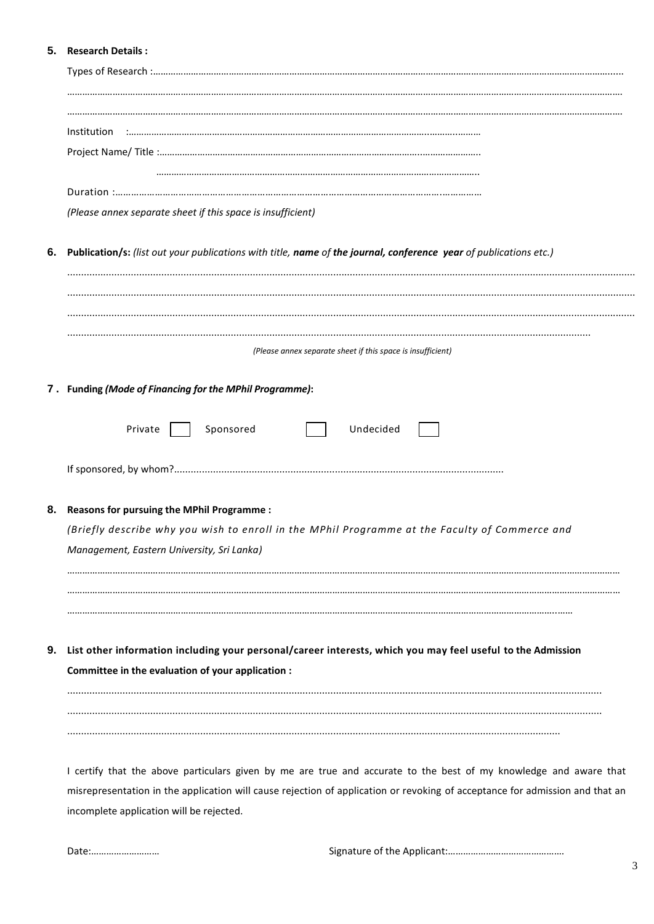## 5. Research Details:

|    | (Please annex separate sheet if this space is insufficient)                                                                                  |  |  |  |  |  |  |
|----|----------------------------------------------------------------------------------------------------------------------------------------------|--|--|--|--|--|--|
| 6. | Publication/s: (list out your publications with title, name of the journal, conference year of publications etc.)                            |  |  |  |  |  |  |
|    |                                                                                                                                              |  |  |  |  |  |  |
|    |                                                                                                                                              |  |  |  |  |  |  |
|    | (Please annex separate sheet if this space is insufficient)                                                                                  |  |  |  |  |  |  |
|    | 7. Funding (Mode of Financing for the MPhil Programme):                                                                                      |  |  |  |  |  |  |
|    |                                                                                                                                              |  |  |  |  |  |  |
|    | Private<br>Sponsored<br>Undecided                                                                                                            |  |  |  |  |  |  |
|    |                                                                                                                                              |  |  |  |  |  |  |
| 8. | Reasons for pursuing the MPhil Programme :                                                                                                   |  |  |  |  |  |  |
|    | (Briefly describe why you wish to enroll in the MPhil Programme at the Faculty of Commerce and<br>Management, Eastern University, Sri Lanka) |  |  |  |  |  |  |
|    |                                                                                                                                              |  |  |  |  |  |  |
|    |                                                                                                                                              |  |  |  |  |  |  |
|    |                                                                                                                                              |  |  |  |  |  |  |
|    | List other information including your personal/career interests, which you may feel useful to the Admission                                  |  |  |  |  |  |  |
|    | Committee in the evaluation of your application :                                                                                            |  |  |  |  |  |  |
|    |                                                                                                                                              |  |  |  |  |  |  |
|    |                                                                                                                                              |  |  |  |  |  |  |
|    |                                                                                                                                              |  |  |  |  |  |  |
|    | I certify that the above particulars given by me are true and accurate to the best of my knowledge and aware that                            |  |  |  |  |  |  |
|    | misrepresentation in the application will cause rejection of application or revoking of acceptance for admission and that an                 |  |  |  |  |  |  |

incomplete application will be rejected.

Date:............................